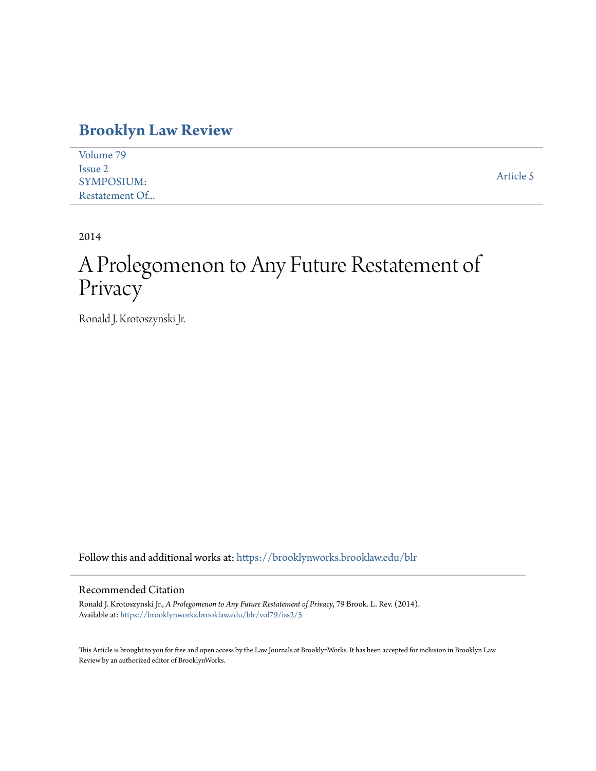### **[Brooklyn Law Review](https://brooklynworks.brooklaw.edu/blr?utm_source=brooklynworks.brooklaw.edu%2Fblr%2Fvol79%2Fiss2%2F5&utm_medium=PDF&utm_campaign=PDFCoverPages)**

| Volume 79         |           |
|-------------------|-----------|
| Issue 2           |           |
| <b>SYMPOSIUM:</b> | Article 5 |
| Restatement Of    |           |

2014

# A Prolegomenon to Any Future Restatement of Privacy

Ronald J. Krotoszynski Jr.

Follow this and additional works at: [https://brooklynworks.brooklaw.edu/blr](https://brooklynworks.brooklaw.edu/blr?utm_source=brooklynworks.brooklaw.edu%2Fblr%2Fvol79%2Fiss2%2F5&utm_medium=PDF&utm_campaign=PDFCoverPages)

#### Recommended Citation

Ronald J. Krotoszynski Jr., *A Prolegomenon to Any Future Restatement of Privacy*, 79 Brook. L. Rev. (2014). Available at: [https://brooklynworks.brooklaw.edu/blr/vol79/iss2/5](https://brooklynworks.brooklaw.edu/blr/vol79/iss2/5?utm_source=brooklynworks.brooklaw.edu%2Fblr%2Fvol79%2Fiss2%2F5&utm_medium=PDF&utm_campaign=PDFCoverPages)

This Article is brought to you for free and open access by the Law Journals at BrooklynWorks. It has been accepted for inclusion in Brooklyn Law Review by an authorized editor of BrooklynWorks.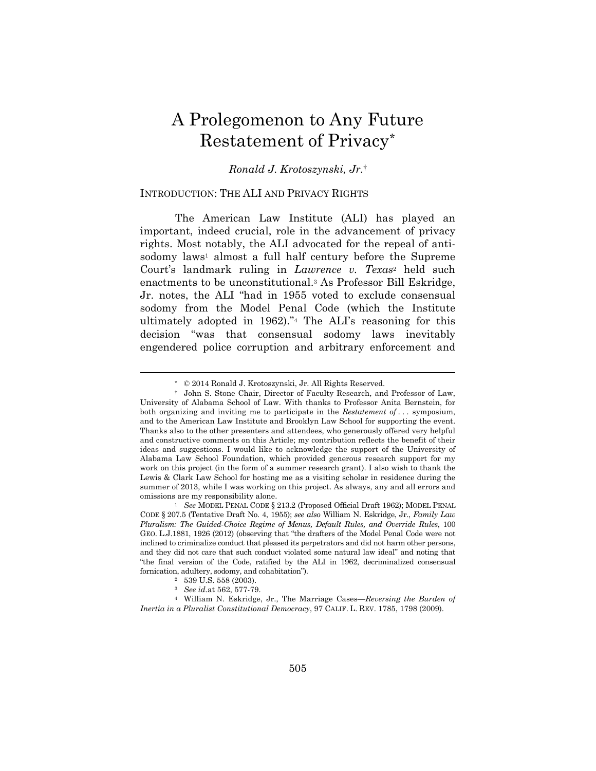## A Prolegomenon to Any Future Restatement of Privacy\*

#### *Ronald J. Krotoszynski, Jr.*†

#### INTRODUCTION: THE ALI AND PRIVACY RIGHTS

The American Law Institute (ALI) has played an important, indeed crucial, role in the advancement of privacy rights. Most notably, the ALI advocated for the repeal of antisodomy laws<sup>1</sup> almost a full half century before the Supreme Court's landmark ruling in *Lawrence v. Texas*2 held such enactments to be unconstitutional.3 As Professor Bill Eskridge, Jr. notes, the ALI "had in 1955 voted to exclude consensual sodomy from the Model Penal Code (which the Institute ultimately adopted in 1962)."4 The ALI's reasoning for this decision "was that consensual sodomy laws inevitably engendered police corruption and arbitrary enforcement and

 <sup>\* © 2014</sup> Ronald J. Krotoszynski, Jr. All Rights Reserved.

 <sup>†</sup> John S. Stone Chair, Director of Faculty Research, and Professor of Law, University of Alabama School of Law. With thanks to Professor Anita Bernstein, for both organizing and inviting me to participate in the *Restatement of . . .* symposium, and to the American Law Institute and Brooklyn Law School for supporting the event. Thanks also to the other presenters and attendees, who generously offered very helpful and constructive comments on this Article; my contribution reflects the benefit of their ideas and suggestions. I would like to acknowledge the support of the University of Alabama Law School Foundation, which provided generous research support for my work on this project (in the form of a summer research grant). I also wish to thank the Lewis & Clark Law School for hosting me as a visiting scholar in residence during the summer of 2013, while I was working on this project. As always, any and all errors and omissions are my responsibility alone.<br><sup>1</sup> See MODEL PENAL CODE § 213.2 (Proposed Official Draft 1962); MODEL PENAL

CODE § 207.5 (Tentative Draft No. 4, 1955); *see also* William N. Eskridge, Jr., *Family Law Pluralism: The Guided-Choice Regime of Menus, Default Rules, and Override Rules*, 100 GEO. L.J.1881, 1926 (2012) (observing that "the drafters of the Model Penal Code were not inclined to criminalize conduct that pleased its perpetrators and did not harm other persons, and they did not care that such conduct violated some natural law ideal" and noting that "the final version of the Code, ratified by the ALI in 1962, decriminalized consensual % fornication, adultery, sodomy, and cohabitation"). <br>  $^2$   $\,$  539 U.S. 558 (2003).  $^3$   $\,$   $\,$  See  $id.$  at 562, 577-79.

<sup>&</sup>lt;sup>4</sup> William N. Eskridge, Jr., The Marriage Cases—*Reversing the Burden of Inertia in a Pluralist Constitutional Democracy*, 97 CALIF. L. REV. 1785, 1798 (2009).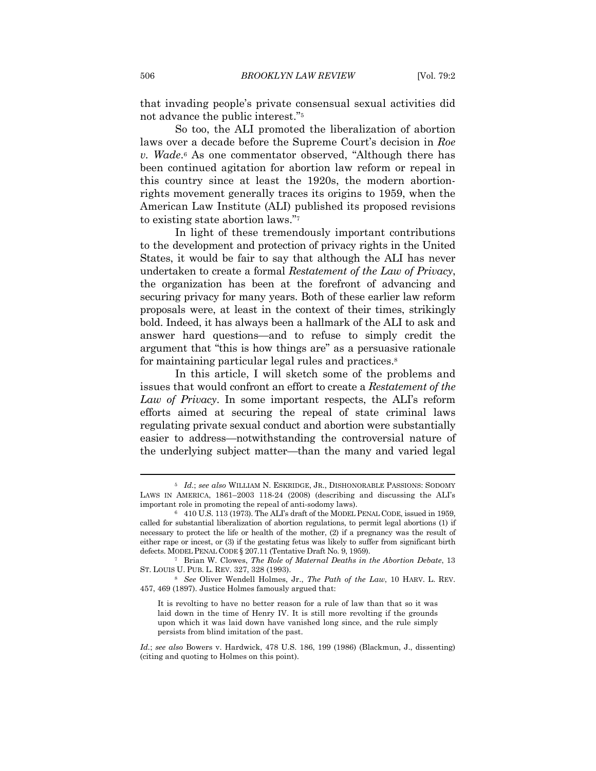that invading people's private consensual sexual activities did not advance the public interest."5

So too, the ALI promoted the liberalization of abortion laws over a decade before the Supreme Court's decision in *Roe v. Wade*.6 As one commentator observed, "Although there has been continued agitation for abortion law reform or repeal in this country since at least the 1920s, the modern abortionrights movement generally traces its origins to 1959, when the American Law Institute (ALI) published its proposed revisions to existing state abortion laws."7

In light of these tremendously important contributions to the development and protection of privacy rights in the United States, it would be fair to say that although the ALI has never undertaken to create a formal *Restatement of the Law of Privacy*, the organization has been at the forefront of advancing and securing privacy for many years. Both of these earlier law reform proposals were, at least in the context of their times, strikingly bold. Indeed, it has always been a hallmark of the ALI to ask and answer hard questions—and to refuse to simply credit the argument that "this is how things are" as a persuasive rationale for maintaining particular legal rules and practices.<sup>8</sup>

In this article, I will sketch some of the problems and issues that would confront an effort to create a *Restatement of the Law of Privacy*. In some important respects, the ALI's reform efforts aimed at securing the repeal of state criminal laws regulating private sexual conduct and abortion were substantially easier to address—notwithstanding the controversial nature of the underlying subject matter—than the many and varied legal

<sup>5</sup> *Id.*; *see also* WILLIAM N. ESKRIDGE, JR., DISHONORABLE PASSIONS: SODOMY LAWS IN AMERICA, 1861–2003 118-24 (2008) (describing and discussing the ALI's important role in promoting the repeal of anti-sodomy laws). 6 410 U.S. 113 (1973). The ALI's draft of the MODEL PENAL CODE, issued in 1959,

called for substantial liberalization of abortion regulations, to permit legal abortions (1) if necessary to protect the life or health of the mother, (2) if a pregnancy was the result of either rape or incest, or (3) if the gestating fetus was likely to suffer from significant birth defects. MODEL PENAL CODE § 207.11 (Tentative Draft No. 9, 1959).<br><sup>7</sup> Brian W. Clowes, *The Role of Maternal Deaths in the Abortion Debate*, 13

ST. LOUIS U. PUB. L. REV. 327, 328 (1993). 8 *See* Oliver Wendell Holmes, Jr., *The Path of the Law*, 10 HARV. L. REV.

<sup>457, 469 (1897).</sup> Justice Holmes famously argued that:

It is revolting to have no better reason for a rule of law than that so it was laid down in the time of Henry IV. It is still more revolting if the grounds upon which it was laid down have vanished long since, and the rule simply persists from blind imitation of the past.

*Id.*; *see also* Bowers v. Hardwick, 478 U.S. 186, 199 (1986) (Blackmun, J., dissenting) (citing and quoting to Holmes on this point).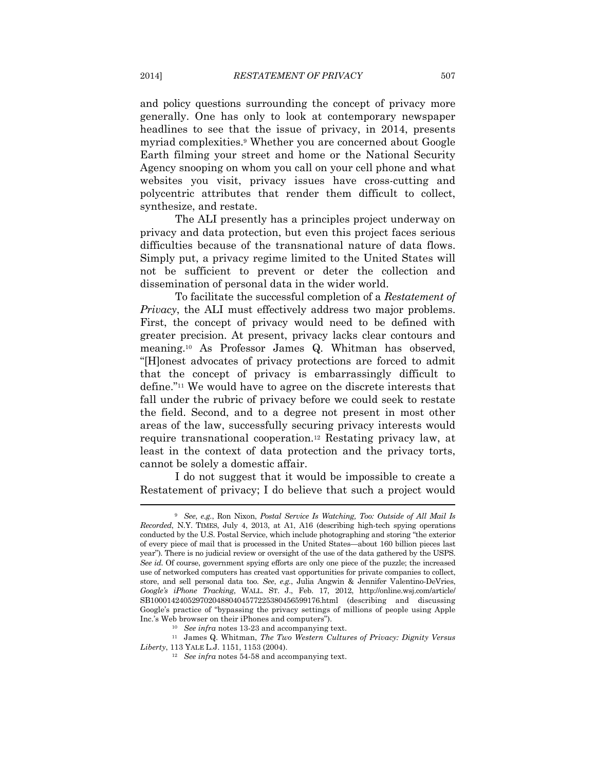and policy questions surrounding the concept of privacy more generally. One has only to look at contemporary newspaper headlines to see that the issue of privacy, in 2014, presents myriad complexities.9 Whether you are concerned about Google Earth filming your street and home or the National Security Agency snooping on whom you call on your cell phone and what websites you visit, privacy issues have cross-cutting and polycentric attributes that render them difficult to collect, synthesize, and restate.

The ALI presently has a principles project underway on privacy and data protection, but even this project faces serious difficulties because of the transnational nature of data flows. Simply put, a privacy regime limited to the United States will not be sufficient to prevent or deter the collection and dissemination of personal data in the wider world.

To facilitate the successful completion of a *Restatement of Privacy*, the ALI must effectively address two major problems. First, the concept of privacy would need to be defined with greater precision. At present, privacy lacks clear contours and meaning.10 As Professor James Q. Whitman has observed, "[H]onest advocates of privacy protections are forced to admit that the concept of privacy is embarrassingly difficult to define."11 We would have to agree on the discrete interests that fall under the rubric of privacy before we could seek to restate the field. Second, and to a degree not present in most other areas of the law, successfully securing privacy interests would require transnational cooperation.12 Restating privacy law, at least in the context of data protection and the privacy torts, cannot be solely a domestic affair.

I do not suggest that it would be impossible to create a Restatement of privacy; I do believe that such a project would

<sup>9</sup> *See*, *e.g.*, Ron Nixon, *Postal Service Is Watching, Too: Outside of All Mail Is Recorded*, N.Y. TIMES, July 4, 2013, at A1, A16 (describing high-tech spying operations conducted by the U.S. Postal Service, which include photographing and storing "the exterior of every piece of mail that is processed in the United States—about 160 billion pieces last year"). There is no judicial review or oversight of the use of the data gathered by the USPS. *See id.* Of course, government spying efforts are only one piece of the puzzle; the increased use of networked computers has created vast opportunities for private companies to collect, store, and sell personal data too. *See*, *e.g.*, Julia Angwin & Jennifer Valentino-DeVries, *Google's iPhone Tracking*, WALL. ST. J., Feb. 17, 2012, http://online.wsj.com/article/ SB10001424052970204880404577225380456599176.html (describing and discussing Google's practice of "bypassing the privacy settings of millions of people using Apple Inc.'s Web browser on their iPhones and computers"). 10 *See infra* notes 13-23 and accompanying text. 11 James Q. Whitman, *The Two Western Cultures of Privacy: Dignity Versus* 

*Liberty*, 113 YALE L.J. 1151, 1153 (2004). 12 *See infra* notes 54-58 and accompanying text.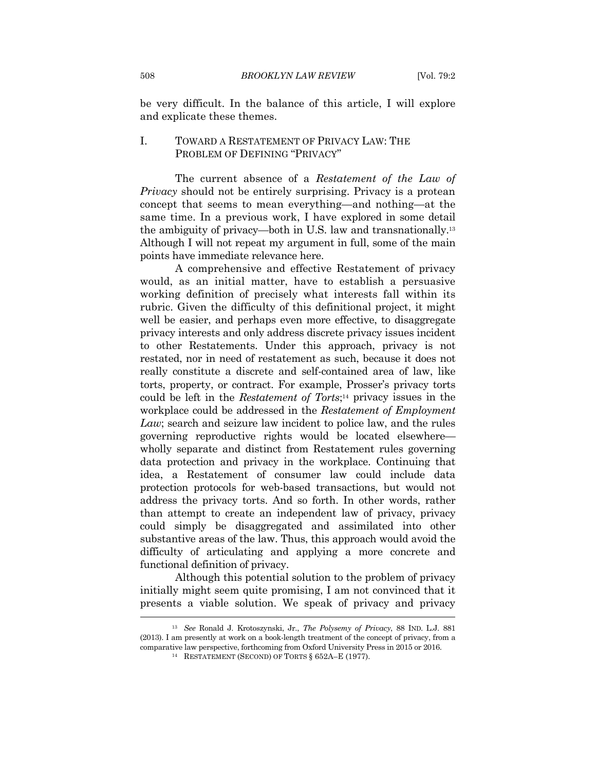be very difficult. In the balance of this article, I will explore and explicate these themes.

#### I. TOWARD A RESTATEMENT OF PRIVACY LAW: THE PROBLEM OF DEFINING "PRIVACY"

The current absence of a *Restatement of the Law of Privacy* should not be entirely surprising. Privacy is a protean concept that seems to mean everything—and nothing—at the same time. In a previous work, I have explored in some detail the ambiguity of privacy—both in U.S. law and transnationally.13 Although I will not repeat my argument in full, some of the main points have immediate relevance here.

A comprehensive and effective Restatement of privacy would, as an initial matter, have to establish a persuasive working definition of precisely what interests fall within its rubric. Given the difficulty of this definitional project, it might well be easier, and perhaps even more effective, to disaggregate privacy interests and only address discrete privacy issues incident to other Restatements. Under this approach, privacy is not restated, nor in need of restatement as such, because it does not really constitute a discrete and self-contained area of law, like torts, property, or contract. For example, Prosser's privacy torts could be left in the *Restatement of Torts*;14 privacy issues in the workplace could be addressed in the *Restatement of Employment Law*; search and seizure law incident to police law, and the rules governing reproductive rights would be located elsewhere wholly separate and distinct from Restatement rules governing data protection and privacy in the workplace. Continuing that idea, a Restatement of consumer law could include data protection protocols for web-based transactions, but would not address the privacy torts. And so forth. In other words, rather than attempt to create an independent law of privacy, privacy could simply be disaggregated and assimilated into other substantive areas of the law. Thus, this approach would avoid the difficulty of articulating and applying a more concrete and functional definition of privacy.

Although this potential solution to the problem of privacy initially might seem quite promising, I am not convinced that it presents a viable solution. We speak of privacy and privacy

<sup>13</sup> *See* Ronald J. Krotoszynski, Jr., *The Polysemy of Privacy*, 88 IND. L.J. 881 (2013). I am presently at work on a book-length treatment of the concept of privacy, from a comparative law perspective, forthcoming from Oxford University Press in 2015 or 2016. 14 RESTATEMENT (SECOND) OF TORTS § 652A–E (1977).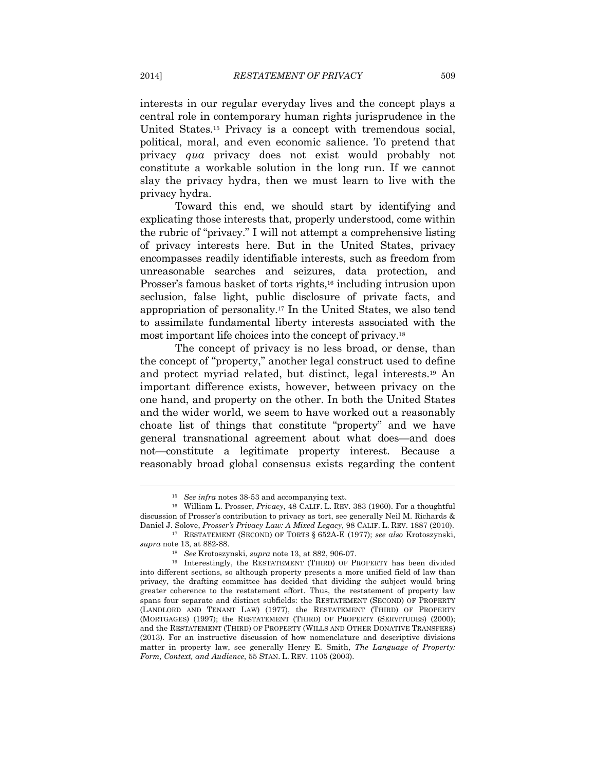interests in our regular everyday lives and the concept plays a central role in contemporary human rights jurisprudence in the United States.15 Privacy is a concept with tremendous social, political, moral, and even economic salience. To pretend that privacy *qua* privacy does not exist would probably not constitute a workable solution in the long run. If we cannot slay the privacy hydra, then we must learn to live with the privacy hydra.

Toward this end, we should start by identifying and explicating those interests that, properly understood, come within the rubric of "privacy." I will not attempt a comprehensive listing of privacy interests here. But in the United States, privacy encompasses readily identifiable interests, such as freedom from unreasonable searches and seizures, data protection, and Prosser's famous basket of torts rights,<sup>16</sup> including intrusion upon seclusion, false light, public disclosure of private facts, and appropriation of personality.17 In the United States, we also tend to assimilate fundamental liberty interests associated with the most important life choices into the concept of privacy.18

The concept of privacy is no less broad, or dense, than the concept of "property," another legal construct used to define and protect myriad related, but distinct, legal interests.19 An important difference exists, however, between privacy on the one hand, and property on the other. In both the United States and the wider world, we seem to have worked out a reasonably choate list of things that constitute "property" and we have general transnational agreement about what does—and does not—constitute a legitimate property interest. Because a reasonably broad global consensus exists regarding the content

<sup>15</sup> *See infra* notes 38-53 and accompanying text. 16 William L. Prosser, *Privacy*, 48 CALIF. L. REV. 383 (1960). For a thoughtful discussion of Prosser's contribution to privacy as tort, see generally Neil M. Richards &

Daniel J. Solove, *Prosser's Privacy Law: A Mixed Legacy*, 98 CALIF. L. REV. 1887 (2010). 17 RESTATEMENT (SECOND) OF TORTS § 652A-E (1977); *see also* Krotoszynski,

*supra* note 13, at 882-88. 18 *See* Krotoszynski, *supra* note 13, at 882, 906-07. 19 Interestingly, the RESTATEMENT (THIRD) OF PROPERTY has been divided into different sections, so although property presents a more unified field of law than privacy, the drafting committee has decided that dividing the subject would bring greater coherence to the restatement effort. Thus, the restatement of property law spans four separate and distinct subfields: the RESTATEMENT (SECOND) OF PROPERTY (LANDLORD AND TENANT LAW) (1977), the RESTATEMENT (THIRD) OF PROPERTY (MORTGAGES) (1997); the RESTATEMENT (THIRD) OF PROPERTY (SERVITUDES) (2000); and the RESTATEMENT (THIRD) OF PROPERTY (WILLS AND OTHER DONATIVE TRANSFERS) (2013). For an instructive discussion of how nomenclature and descriptive divisions matter in property law, see generally Henry E. Smith, *The Language of Property: Form, Context, and Audience*, 55 STAN. L. REV. 1105 (2003).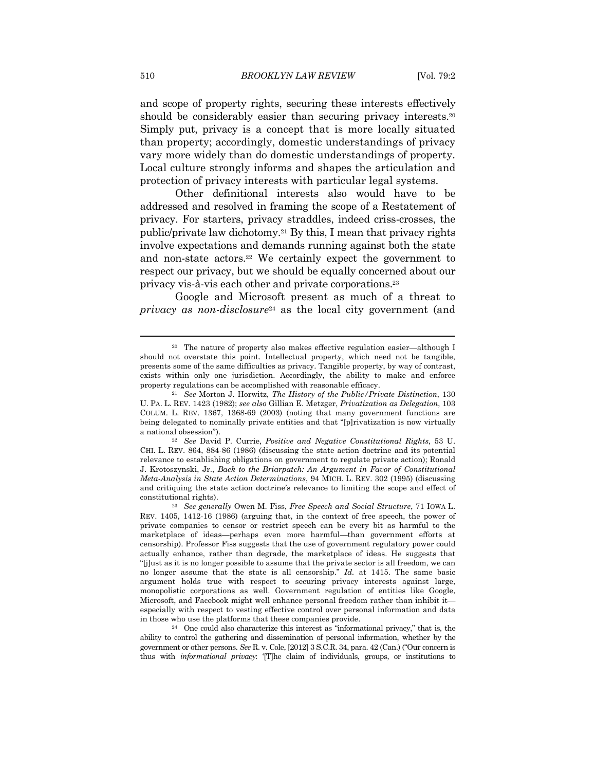and scope of property rights, securing these interests effectively should be considerably easier than securing privacy interests.<sup>20</sup> Simply put, privacy is a concept that is more locally situated than property; accordingly, domestic understandings of privacy vary more widely than do domestic understandings of property. Local culture strongly informs and shapes the articulation and protection of privacy interests with particular legal systems.

Other definitional interests also would have to be addressed and resolved in framing the scope of a Restatement of privacy. For starters, privacy straddles, indeed criss-crosses, the public/private law dichotomy.21 By this, I mean that privacy rights involve expectations and demands running against both the state and non-state actors.22 We certainly expect the government to respect our privacy, but we should be equally concerned about our privacy vis-à-vis each other and private corporations.23

Google and Microsoft present as much of a threat to *privacy as non-disclosure*<sup>24</sup> as the local city government (and

<sup>20</sup> The nature of property also makes effective regulation easier—although I should not overstate this point. Intellectual property, which need not be tangible, presents some of the same difficulties as privacy. Tangible property, by way of contrast, exists within only one jurisdiction. Accordingly, the ability to make and enforce property regulations can be accomplished with reasonable efficacy. 21 *See* Morton J. Horwitz, *The History of the Public/Private Distinction*, 130

U. PA. L. REV. 1423 (1982); *see also* Gillian E. Metzger, *Privatization as Delegation*, 103 COLUM. L. REV. 1367, 1368-69 (2003) (noting that many government functions are being delegated to nominally private entities and that "[p]rivatization is now virtually

a national obsession"). 22 *See* David P. Currie, *Positive and Negative Constitutional Rights*, 53 U. CHI. L. REV. 864, 884-86 (1986) (discussing the state action doctrine and its potential relevance to establishing obligations on government to regulate private action); Ronald J. Krotoszynski, Jr., *Back to the Briarpatch: An Argument in Favor of Constitutional Meta-Analysis in State Action Determinations*, 94 MICH. L. REV. 302 (1995) (discussing and critiquing the state action doctrine's relevance to limiting the scope and effect of constitutional rights). 23 *See generally* Owen M. Fiss, *Free Speech and Social Structure*, 71 IOWA L.

REV. 1405, 1412-16 (1986) (arguing that, in the context of free speech, the power of private companies to censor or restrict speech can be every bit as harmful to the marketplace of ideas—perhaps even more harmful—than government efforts at censorship). Professor Fiss suggests that the use of government regulatory power could actually enhance, rather than degrade, the marketplace of ideas. He suggests that "[j]ust as it is no longer possible to assume that the private sector is all freedom, we can no longer assume that the state is all censorship." *Id.* at 1415. The same basic argument holds true with respect to securing privacy interests against large, monopolistic corporations as well. Government regulation of entities like Google, Microsoft, and Facebook might well enhance personal freedom rather than inhibit it especially with respect to vesting effective control over personal information and data in those who use the platforms that these companies provide. 24 One could also characterize this interest as "informational privacy," that is, the

ability to control the gathering and dissemination of personal information, whether by the government or other persons. *See* R. v. Cole, [2012] 3 S.C.R. 34, para. 42 (Can.) ("Our concern is thus with *informational privacy*: '[T]he claim of individuals, groups, or institutions to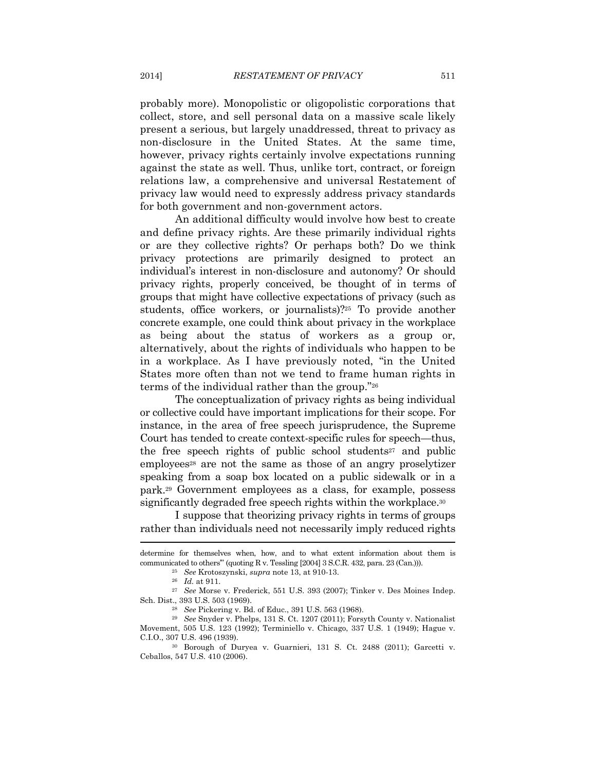probably more). Monopolistic or oligopolistic corporations that collect, store, and sell personal data on a massive scale likely present a serious, but largely unaddressed, threat to privacy as non-disclosure in the United States. At the same time, however, privacy rights certainly involve expectations running against the state as well. Thus, unlike tort, contract, or foreign relations law, a comprehensive and universal Restatement of privacy law would need to expressly address privacy standards for both government and non-government actors.

An additional difficulty would involve how best to create and define privacy rights. Are these primarily individual rights or are they collective rights? Or perhaps both? Do we think privacy protections are primarily designed to protect an individual's interest in non-disclosure and autonomy? Or should privacy rights, properly conceived, be thought of in terms of groups that might have collective expectations of privacy (such as students, office workers, or journalists)?25 To provide another concrete example, one could think about privacy in the workplace as being about the status of workers as a group or, alternatively, about the rights of individuals who happen to be in a workplace. As I have previously noted, "in the United States more often than not we tend to frame human rights in terms of the individual rather than the group."26

The conceptualization of privacy rights as being individual or collective could have important implications for their scope. For instance, in the area of free speech jurisprudence, the Supreme Court has tended to create context-specific rules for speech—thus, the free speech rights of public school students<sup>27</sup> and public employees<sup>28</sup> are not the same as those of an angry proselytizer speaking from a soap box located on a public sidewalk or in a park.29 Government employees as a class, for example, possess significantly degraded free speech rights within the workplace.<sup>30</sup>

I suppose that theorizing privacy rights in terms of groups rather than individuals need not necessarily imply reduced rights

Sch. Dist., 393 U.S. 503 (1969). 28 *See* Pickering v. Bd. of Educ., 391 U.S. 563 (1968). 29 *See* Snyder v. Phelps, 131 S. Ct. 1207 (2011); Forsyth County v. Nationalist

determine for themselves when, how, and to what extent information about them is % communicated to others" (quoting R v. Tessling [2004] 3 S.C.R. 432, para. 23 (Can.))).<br><sup>25</sup> See Krotoszynski, *supra* note 13, at 910-13.<br><sup>26</sup> Id. at 911.<br><sup>27</sup> See Morse v. Frederick, 551 U.S. 393 (2007); Tinker v. Des

Movement, 505 U.S. 123 (1992); Terminiello v. Chicago, 337 U.S. 1 (1949); Hague v. C.I.O., 307 U.S. 496 (1939). 30 Borough of Duryea v. Guarnieri, 131 S. Ct. 2488 (2011); Garcetti v.

Ceballos, 547 U.S. 410 (2006).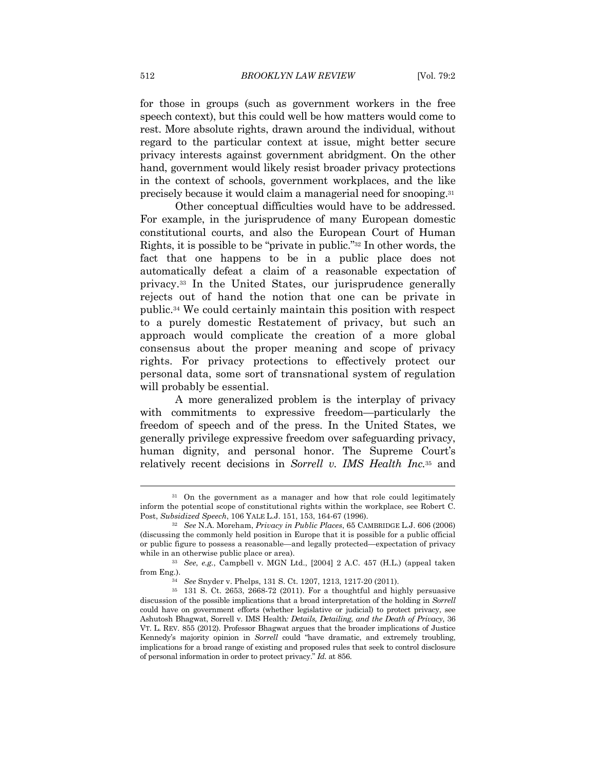for those in groups (such as government workers in the free speech context), but this could well be how matters would come to rest. More absolute rights, drawn around the individual, without regard to the particular context at issue, might better secure privacy interests against government abridgment. On the other hand, government would likely resist broader privacy protections in the context of schools, government workplaces, and the like precisely because it would claim a managerial need for snooping.31

Other conceptual difficulties would have to be addressed. For example, in the jurisprudence of many European domestic constitutional courts, and also the European Court of Human Rights, it is possible to be "private in public."32 In other words, the fact that one happens to be in a public place does not automatically defeat a claim of a reasonable expectation of privacy.33 In the United States, our jurisprudence generally rejects out of hand the notion that one can be private in public.34 We could certainly maintain this position with respect to a purely domestic Restatement of privacy, but such an approach would complicate the creation of a more global consensus about the proper meaning and scope of privacy rights. For privacy protections to effectively protect our personal data, some sort of transnational system of regulation will probably be essential.

A more generalized problem is the interplay of privacy with commitments to expressive freedom—particularly the freedom of speech and of the press. In the United States, we generally privilege expressive freedom over safeguarding privacy, human dignity, and personal honor. The Supreme Court's relatively recent decisions in *Sorrell v. IMS Health Inc.*35 and

<sup>&</sup>lt;sup>31</sup> On the government as a manager and how that role could legitimately inform the potential scope of constitutional rights within the workplace, see Robert C. Post, *Subsidized Speech*, 106 YALE L.J. 151, 153, 164-67 (1996). 32 *See* N.A. Moreham, *Privacy in Public Places*, 65 CAMBRIDGE L.J. 606 (2006)

<sup>(</sup>discussing the commonly held position in Europe that it is possible for a public official or public figure to possess a reasonable—and legally protected—expectation of privacy

while in an otherwise public place or area).<br><sup>33</sup> See, e.g., Campbell v. MGN Ltd., [2004] 2 A.C. 457 (H.L.) (appeal taken from Eng.).

from Eng.). 34 *See* Snyder v. Phelps, 131 S. Ct. 1207, 1213, 1217-20 (2011). 35 131 S. Ct. 2653, 2668-72 (2011). For a thoughtful and highly persuasive discussion of the possible implications that a broad interpretation of the holding in *Sorrell*  could have on government efforts (whether legislative or judicial) to protect privacy, see Ashutosh Bhagwat, Sorrell v. IMS Health*: Details, Detailing, and the Death of Privacy*, 36 VT. L. REV. 855 (2012). Professor Bhagwat argues that the broader implications of Justice Kennedy's majority opinion in *Sorrell* could "have dramatic, and extremely troubling, implications for a broad range of existing and proposed rules that seek to control disclosure of personal information in order to protect privacy." *Id.* at 856.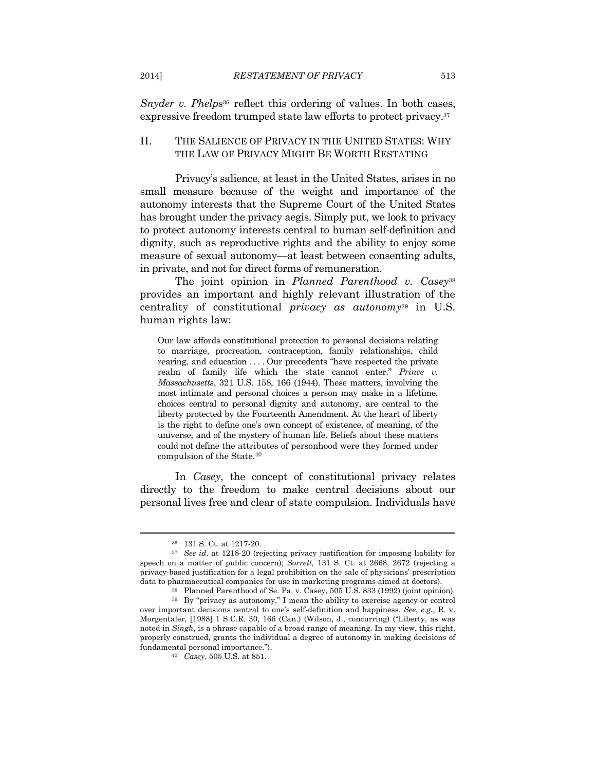*Snyder v. Phelps*<sup>36</sup> reflect this ordering of values. In both cases, expressive freedom trumped state law efforts to protect privacy.37

#### II. THE SALIENCE OF PRIVACY IN THE UNITED STATES: WHY THE LAW OF PRIVACY MIGHT BE WORTH RESTATING

Privacy's salience, at least in the United States, arises in no small measure because of the weight and importance of the autonomy interests that the Supreme Court of the United States has brought under the privacy aegis. Simply put, we look to privacy to protect autonomy interests central to human self-definition and dignity, such as reproductive rights and the ability to enjoy some measure of sexual autonomy—at least between consenting adults, in private, and not for direct forms of remuneration.

The joint opinion in *Planned Parenthood v. Casey*<sup>38</sup> provides an important and highly relevant illustration of the centrality of constitutional *privacy as autonomy*39 in U.S. human rights law:

Our law affords constitutional protection to personal decisions relating to marriage, procreation, contraception, family relationships, child rearing, and education . . . . Our precedents "have respected the private realm of family life which the state cannot enter." *Prince v. Massachusetts*, 321 U.S. 158, 166 (1944). These matters, involving the most intimate and personal choices a person may make in a lifetime, choices central to personal dignity and autonomy, are central to the liberty protected by the Fourteenth Amendment. At the heart of liberty is the right to define one's own concept of existence, of meaning, of the universe, and of the mystery of human life. Beliefs about these matters could not define the attributes of personhood were they formed under compulsion of the State.40

In *Casey*, the concept of constitutional privacy relates directly to the freedom to make central decisions about our personal lives free and clear of state compulsion. Individuals have

<sup>36 131</sup> S. Ct. at 1217-20.

<sup>37</sup> *See id*. at 1218-20 (rejecting privacy justification for imposing liability for speech on a matter of public concern); *Sorrell*, 131 S. Ct. at 2668, 2672 (rejecting a privacy-based justification for a legal prohibition on the sale of physicians' prescription data to pharmaceutical companies for use in marketing programs aimed at doctors).<br><sup>38</sup> Planned Parenthood of Se. Pa. v. Casey, 505 U.S. 833 (1992) (joint opinion).<br><sup>39</sup> By "privacy as autonomy," I mean the ability to exer

over important decisions central to one's self-definition and happiness. *See*, *e.g.*, R. v. Morgentaler, [1988] 1 S.C.R. 30, 166 (Can.) (Wilson, J., concurring) ("Liberty, as was noted in *Singh*, is a phrase capable of a broad range of meaning. In my view, this right, properly construed, grants the individual a degree of autonomy in making decisions of fundamental personal importance."). 40 *Casey*, 505 U.S. at 851.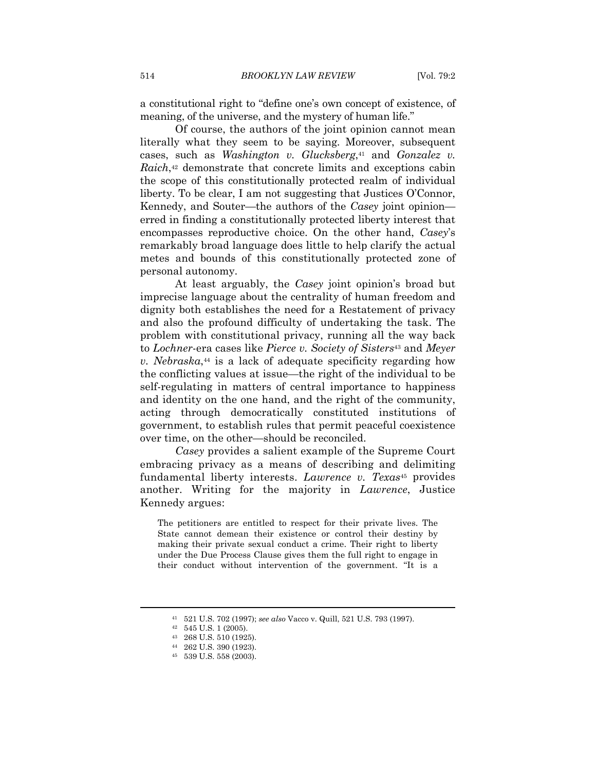a constitutional right to "define one's own concept of existence, of meaning, of the universe, and the mystery of human life."

Of course, the authors of the joint opinion cannot mean literally what they seem to be saying. Moreover, subsequent cases, such as *Washington v. Glucksberg*<sup>41</sup> and *Gonzalez v. Raich*,<sup>42</sup> demonstrate that concrete limits and exceptions cabin the scope of this constitutionally protected realm of individual liberty. To be clear, I am not suggesting that Justices O'Connor, Kennedy, and Souter—the authors of the *Casey* joint opinion erred in finding a constitutionally protected liberty interest that encompasses reproductive choice. On the other hand, *Casey*'s remarkably broad language does little to help clarify the actual metes and bounds of this constitutionally protected zone of personal autonomy.

At least arguably, the *Casey* joint opinion's broad but imprecise language about the centrality of human freedom and dignity both establishes the need for a Restatement of privacy and also the profound difficulty of undertaking the task. The problem with constitutional privacy, running all the way back to *Lochner*-era cases like *Pierce v. Society of Sisters*43 and *Meyer v. Nebraska*,44 is a lack of adequate specificity regarding how the conflicting values at issue—the right of the individual to be self-regulating in matters of central importance to happiness and identity on the one hand, and the right of the community, acting through democratically constituted institutions of government, to establish rules that permit peaceful coexistence over time, on the other—should be reconciled.

*Casey* provides a salient example of the Supreme Court embracing privacy as a means of describing and delimiting fundamental liberty interests. *Lawrence v. Texas*45 provides another. Writing for the majority in *Lawrence*, Justice Kennedy argues:

The petitioners are entitled to respect for their private lives. The State cannot demean their existence or control their destiny by making their private sexual conduct a crime. Their right to liberty under the Due Process Clause gives them the full right to engage in their conduct without intervention of the government. "It is a

<sup>41 521</sup> U.S. 702 (1997); *see also* Vacco v. Quill, 521 U.S. 793 (1997). 42 545 U.S. 1 (2005).

<sup>43 268</sup> U.S. 510 (1925).

<sup>44 262</sup> U.S. 390 (1923).

<sup>45 539</sup> U.S. 558 (2003).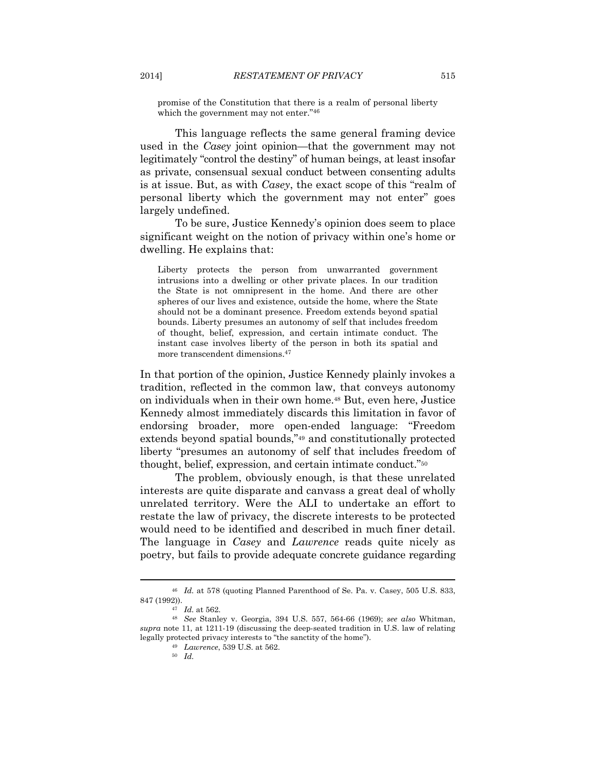promise of the Constitution that there is a realm of personal liberty which the government may not enter."46

This language reflects the same general framing device used in the *Casey* joint opinion—that the government may not legitimately "control the destiny" of human beings, at least insofar as private, consensual sexual conduct between consenting adults is at issue. But, as with *Casey*, the exact scope of this "realm of personal liberty which the government may not enter" goes largely undefined.

To be sure, Justice Kennedy's opinion does seem to place significant weight on the notion of privacy within one's home or dwelling. He explains that:

Liberty protects the person from unwarranted government intrusions into a dwelling or other private places. In our tradition the State is not omnipresent in the home. And there are other spheres of our lives and existence, outside the home, where the State should not be a dominant presence. Freedom extends beyond spatial bounds. Liberty presumes an autonomy of self that includes freedom of thought, belief, expression, and certain intimate conduct. The instant case involves liberty of the person in both its spatial and more transcendent dimensions.47

In that portion of the opinion, Justice Kennedy plainly invokes a tradition, reflected in the common law, that conveys autonomy on individuals when in their own home.48 But, even here, Justice Kennedy almost immediately discards this limitation in favor of endorsing broader, more open-ended language: "Freedom extends beyond spatial bounds,"49 and constitutionally protected liberty "presumes an autonomy of self that includes freedom of thought, belief, expression, and certain intimate conduct."50

The problem, obviously enough, is that these unrelated interests are quite disparate and canvass a great deal of wholly unrelated territory. Were the ALI to undertake an effort to restate the law of privacy, the discrete interests to be protected would need to be identified and described in much finer detail. The language in *Casey* and *Lawrence* reads quite nicely as poetry, but fails to provide adequate concrete guidance regarding

 $^{46}$   $\,$   $Id.$  at 578 (quoting Planned Parenthood of Se. Pa. v. Casey, 505 U.S. 833, 847 (1992)).

<sup>847 (1992)). 47</sup> *Id.* at 562. 48 *See* Stanley v. Georgia, 394 U.S. 557, 564-66 (1969); *see also* Whitman, *supra* note 11, at 1211-19 (discussing the deep-seated tradition in U.S. law of relating legally protected privacy interests to "the sanctity of the home"). 49 *Lawrence*, 539 U.S. at 562. 50 *Id.*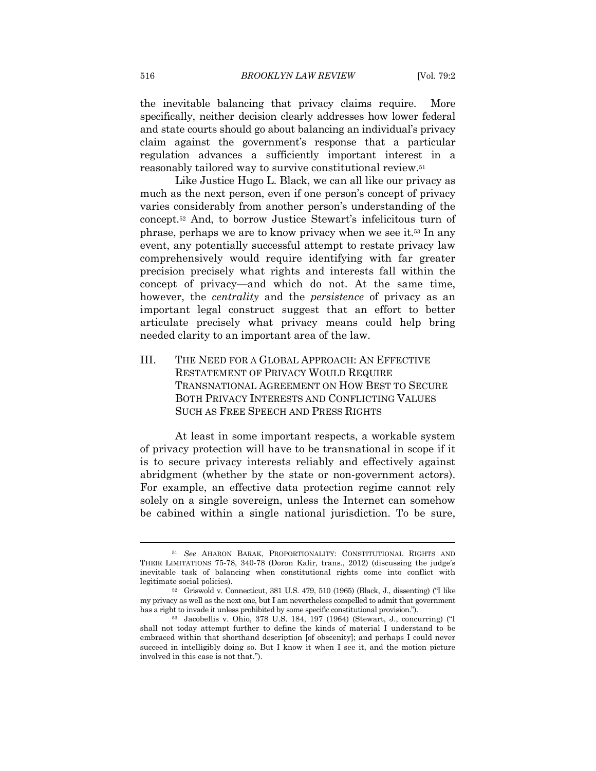the inevitable balancing that privacy claims require. More specifically, neither decision clearly addresses how lower federal and state courts should go about balancing an individual's privacy claim against the government's response that a particular regulation advances a sufficiently important interest in a reasonably tailored way to survive constitutional review.51

Like Justice Hugo L. Black, we can all like our privacy as much as the next person, even if one person's concept of privacy varies considerably from another person's understanding of the concept.52 And, to borrow Justice Stewart's infelicitous turn of phrase, perhaps we are to know privacy when we see it.53 In any event, any potentially successful attempt to restate privacy law comprehensively would require identifying with far greater precision precisely what rights and interests fall within the concept of privacy—and which do not. At the same time, however, the *centrality* and the *persistence* of privacy as an important legal construct suggest that an effort to better articulate precisely what privacy means could help bring needed clarity to an important area of the law.

III. THE NEED FOR A GLOBAL APPROACH: AN EFFECTIVE RESTATEMENT OF PRIVACY WOULD REQUIRE TRANSNATIONAL AGREEMENT ON HOW BEST TO SECURE BOTH PRIVACY INTERESTS AND CONFLICTING VALUES SUCH AS FREE SPEECH AND PRESS RIGHTS

At least in some important respects, a workable system of privacy protection will have to be transnational in scope if it is to secure privacy interests reliably and effectively against abridgment (whether by the state or non-government actors). For example, an effective data protection regime cannot rely solely on a single sovereign, unless the Internet can somehow be cabined within a single national jurisdiction. To be sure,

<sup>51</sup> *See* AHARON BARAK, PROPORTIONALITY: CONSTITUTIONAL RIGHTS AND THEIR LIMITATIONS 75-78, 340-78 (Doron Kalir, trans., 2012) (discussing the judge's inevitable task of balancing when constitutional rights come into conflict with legitimate social policies). 52 Griswold v. Connecticut, 381 U.S. 479, 510 (1965) (Black, J., dissenting) ("I like

my privacy as well as the next one, but I am nevertheless compelled to admit that government has a right to invade it unless prohibited by some specific constitutional provision.").<br><sup>53</sup> Jacobellis v. Ohio, 378 U.S. 184, 197 (1964) (Stewart, J., concurring) ("I

shall not today attempt further to define the kinds of material I understand to be embraced within that shorthand description [of obscenity]; and perhaps I could never succeed in intelligibly doing so. But I know it when I see it, and the motion picture involved in this case is not that.").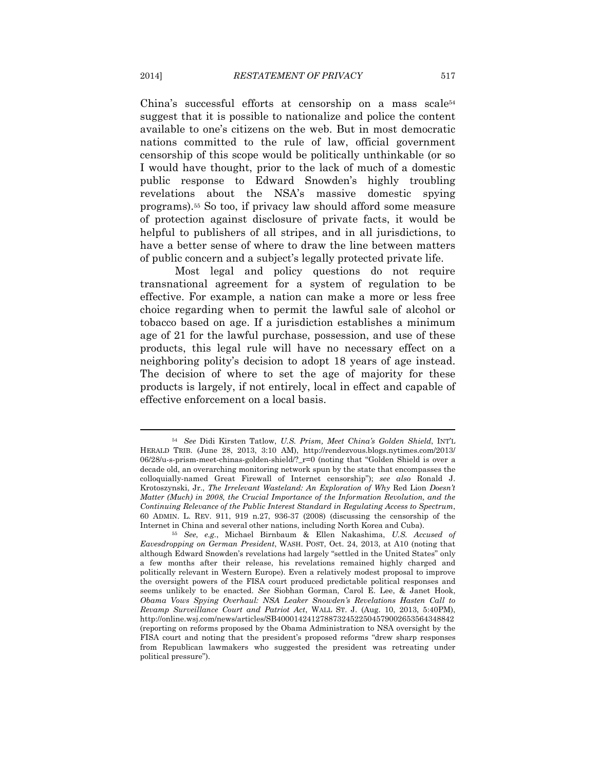China's successful efforts at censorship on a mass scale<sup>54</sup> suggest that it is possible to nationalize and police the content available to one's citizens on the web. But in most democratic nations committed to the rule of law, official government censorship of this scope would be politically unthinkable (or so I would have thought, prior to the lack of much of a domestic public response to Edward Snowden's highly troubling revelations about the NSA's massive domestic spying programs).55 So too, if privacy law should afford some measure of protection against disclosure of private facts, it would be helpful to publishers of all stripes, and in all jurisdictions, to have a better sense of where to draw the line between matters of public concern and a subject's legally protected private life.

Most legal and policy questions do not require transnational agreement for a system of regulation to be effective. For example, a nation can make a more or less free choice regarding when to permit the lawful sale of alcohol or tobacco based on age. If a jurisdiction establishes a minimum age of 21 for the lawful purchase, possession, and use of these products, this legal rule will have no necessary effect on a neighboring polity's decision to adopt 18 years of age instead. The decision of where to set the age of majority for these products is largely, if not entirely, local in effect and capable of effective enforcement on a local basis.

<sup>54</sup> *See* Didi Kirsten Tatlow, *U.S. Prism, Meet China's Golden Shield*, INT'L HERALD TRIB. (June 28, 2013, 3:10 AM), http://rendezvous.blogs.nytimes.com/2013/ 06/28/u-s-prism-meet-chinas-golden-shield/?\_r=0 (noting that "Golden Shield is over a decade old, an overarching monitoring network spun by the state that encompasses the colloquially-named Great Firewall of Internet censorship"); *see also* Ronald J. Krotoszynski, Jr., *The Irrelevant Wasteland: An Exploration of Why* Red Lion *Doesn't Matter (Much) in 2008, the Crucial Importance of the Information Revolution, and the Continuing Relevance of the Public Interest Standard in Regulating Access to Spectrum*, 60 ADMIN. L. REV. 911, 919 n.27, 936-37 (2008) (discussing the censorship of the Internet in China and several other nations, including North Korea and Cuba). 55 *See*, *e.g.*, Michael Birnbaum & Ellen Nakashima, *U.S. Accused of* 

*Eavesdropping on German President*, WASH. POST, Oct. 24, 2013, at A10 (noting that although Edward Snowden's revelations had largely "settled in the United States" only a few months after their release, his revelations remained highly charged and politically relevant in Western Europe). Even a relatively modest proposal to improve the oversight powers of the FISA court produced predictable political responses and seems unlikely to be enacted. *See* Siobhan Gorman, Carol E. Lee, & Janet Hook, *Obama Vows Spying Overhaul: NSA Leaker Snowden's Revelations Hasten Call to Revamp Surveillance Court and Patriot Act*, WALL ST. J. (Aug. 10, 2013, 5:40PM), http://online.wsj.com/news/articles/SB40001424127887324522504579002653564348842 (reporting on reforms proposed by the Obama Administration to NSA oversight by the FISA court and noting that the president's proposed reforms "drew sharp responses from Republican lawmakers who suggested the president was retreating under political pressure").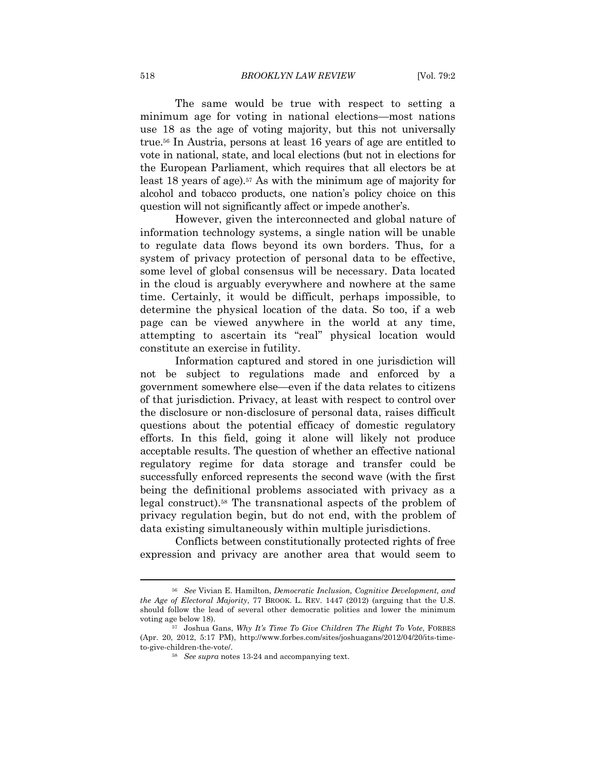The same would be true with respect to setting a minimum age for voting in national elections—most nations use 18 as the age of voting majority, but this not universally true.56 In Austria, persons at least 16 years of age are entitled to vote in national, state, and local elections (but not in elections for the European Parliament, which requires that all electors be at least 18 years of age).57 As with the minimum age of majority for alcohol and tobacco products, one nation's policy choice on this question will not significantly affect or impede another's.

However, given the interconnected and global nature of information technology systems, a single nation will be unable to regulate data flows beyond its own borders. Thus, for a system of privacy protection of personal data to be effective, some level of global consensus will be necessary. Data located in the cloud is arguably everywhere and nowhere at the same time. Certainly, it would be difficult, perhaps impossible, to determine the physical location of the data. So too, if a web page can be viewed anywhere in the world at any time, attempting to ascertain its "real" physical location would constitute an exercise in futility.

Information captured and stored in one jurisdiction will not be subject to regulations made and enforced by a government somewhere else—even if the data relates to citizens of that jurisdiction. Privacy, at least with respect to control over the disclosure or non-disclosure of personal data, raises difficult questions about the potential efficacy of domestic regulatory efforts. In this field, going it alone will likely not produce acceptable results. The question of whether an effective national regulatory regime for data storage and transfer could be successfully enforced represents the second wave (with the first being the definitional problems associated with privacy as a legal construct).58 The transnational aspects of the problem of privacy regulation begin, but do not end, with the problem of data existing simultaneously within multiple jurisdictions.

Conflicts between constitutionally protected rights of free expression and privacy are another area that would seem to

<sup>56</sup> *See* Vivian E. Hamilton, *Democratic Inclusion, Cognitive Development, and the Age of Electoral Majority*, 77 BROOK. L. REV. 1447 (2012) (arguing that the U.S. should follow the lead of several other democratic polities and lower the minimum voting age below 18). 57 Joshua Gans, *Why It's Time To Give Children The Right To Vote*, FORBES

<sup>(</sup>Apr. 20, 2012, 5:17 PM), http://www.forbes.com/sites/joshuagans/2012/04/20/its-timeto-give-children-the-vote/. 58 *See supra* notes 13-24 and accompanying text.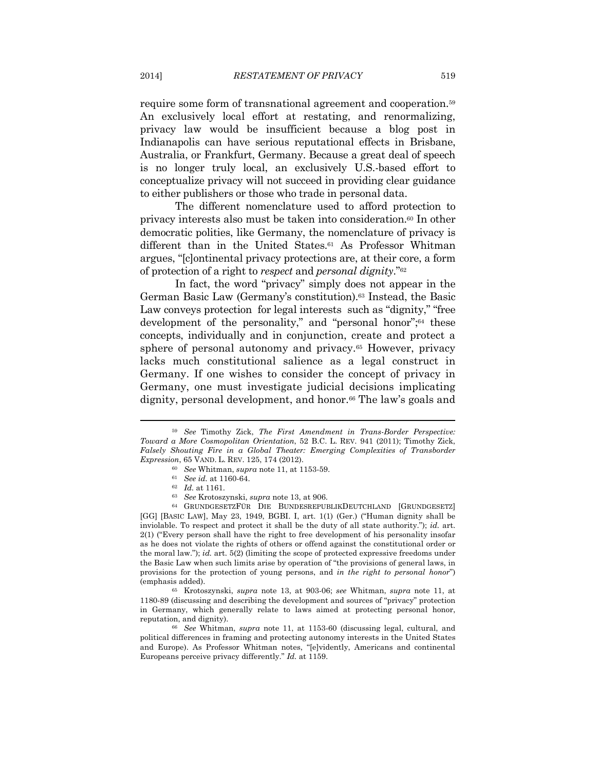require some form of transnational agreement and cooperation.59 An exclusively local effort at restating, and renormalizing, privacy law would be insufficient because a blog post in Indianapolis can have serious reputational effects in Brisbane, Australia, or Frankfurt, Germany. Because a great deal of speech is no longer truly local, an exclusively U.S.-based effort to conceptualize privacy will not succeed in providing clear guidance to either publishers or those who trade in personal data.

The different nomenclature used to afford protection to privacy interests also must be taken into consideration.60 In other democratic polities, like Germany, the nomenclature of privacy is different than in the United States.<sup>61</sup> As Professor Whitman argues, "[c]ontinental privacy protections are, at their core, a form of protection of a right to *respect* and *personal dignity*."62

In fact, the word "privacy" simply does not appear in the German Basic Law (Germany's constitution).63 Instead, the Basic Law conveys protection for legal interests such as "dignity," "free development of the personality," and "personal honor";<sup>64</sup> these concepts, individually and in conjunction, create and protect a sphere of personal autonomy and privacy.<sup>65</sup> However, privacy lacks much constitutional salience as a legal construct in Germany. If one wishes to consider the concept of privacy in Germany, one must investigate judicial decisions implicating dignity, personal development, and honor.<sup>66</sup> The law's goals and

 $65$  Krotoszynski, *supra* note 13, at 903-06; *see* Whitman, *supra* note 11, at 1180-89 (discussing and describing the development and sources of "privacy" protection in Germany, which generally relate to laws aimed at protecting personal honor, reputation, and dignity). 66 *See* Whitman, *supra* note 11, at 1153-60 (discussing legal, cultural, and

political differences in framing and protecting autonomy interests in the United States and Europe). As Professor Whitman notes, "[e]vidently, Americans and continental Europeans perceive privacy differently." *Id.* at 1159.

<sup>59</sup> *See* Timothy Zick, *The First Amendment in Trans-Border Perspective: Toward a More Cosmopolitan Orientation*, 52 B.C. L. REV. 941 (2011); Timothy Zick, *Falsely Shouting Fire in a Global Theater: Emerging Complexities of Transborder Expression*, 65 VAND. L. REV. 125, 174 (2012).<br>
<sup>60</sup> See Whitman, *supra* note 11, at 1153-59.<br>
<sup>61</sup> See id. at 1160-64.<br>
<sup>62</sup> Id. at 1161.<br>
<sup>63</sup> See Krotoszynski, *supra* note 13, at 906.<br>
<sup>64</sup> GRUNDGESETZFÜR DIE BUNDES

<sup>[</sup>GG] [BASIC LAW], May 23, 1949, BGBI. I, art. 1(1) (Ger.) ("Human dignity shall be inviolable. To respect and protect it shall be the duty of all state authority."); *id.* art. 2(1) ("Every person shall have the right to free development of his personality insofar as he does not violate the rights of others or offend against the constitutional order or the moral law."); *id.* art. 5(2) (limiting the scope of protected expressive freedoms under the Basic Law when such limits arise by operation of "the provisions of general laws, in provisions for the protection of young persons, and *in the right to personal honor*")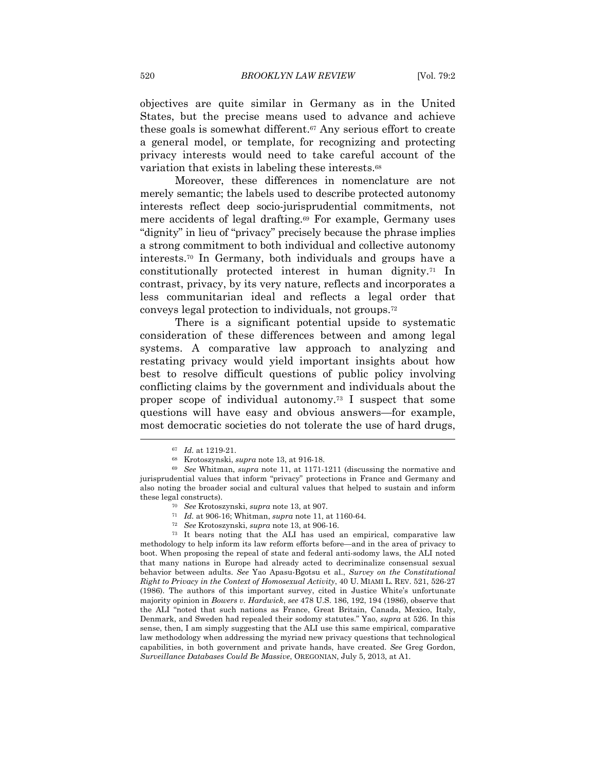objectives are quite similar in Germany as in the United States, but the precise means used to advance and achieve these goals is somewhat different.67 Any serious effort to create a general model, or template, for recognizing and protecting privacy interests would need to take careful account of the variation that exists in labeling these interests.68

Moreover, these differences in nomenclature are not merely semantic; the labels used to describe protected autonomy interests reflect deep socio-jurisprudential commitments, not mere accidents of legal drafting.69 For example, Germany uses "dignity" in lieu of "privacy" precisely because the phrase implies a strong commitment to both individual and collective autonomy interests.70 In Germany, both individuals and groups have a constitutionally protected interest in human dignity.71 In contrast, privacy, by its very nature, reflects and incorporates a less communitarian ideal and reflects a legal order that conveys legal protection to individuals, not groups.72

There is a significant potential upside to systematic consideration of these differences between and among legal systems. A comparative law approach to analyzing and restating privacy would yield important insights about how best to resolve difficult questions of public policy involving conflicting claims by the government and individuals about the proper scope of individual autonomy.73 I suspect that some questions will have easy and obvious answers—for example, most democratic societies do not tolerate the use of hard drugs,

methodology to help inform its law reform efforts before—and in the area of privacy to boot. When proposing the repeal of state and federal anti-sodomy laws, the ALI noted that many nations in Europe had already acted to decriminalize consensual sexual behavior between adults. *See* Yao Apasu-Bgotsu et al., *Survey on the Constitutional Right to Privacy in the Context of Homosexual Activity*, 40 U. MIAMI L. REV. 521, 526-27 (1986). The authors of this important survey, cited in Justice White's unfortunate majority opinion in *Bowers v. Hardwick*, *see* 478 U.S. 186, 192, 194 (1986), observe that the ALI "noted that such nations as France, Great Britain, Canada, Mexico, Italy, Denmark, and Sweden had repealed their sodomy statutes." Yao, *supra* at 526. In this sense, then, I am simply suggesting that the ALI use this same empirical, comparative law methodology when addressing the myriad new privacy questions that technological capabilities, in both government and private hands, have created. *See* Greg Gordon, *Surveillance Databases Could Be Massive*, OREGONIAN, July 5, 2013, at A1.

<sup>67</sup> *Id.* at 1219-21. 68 Krotoszynski, *supra* note 13, at 916-18. 69 *See* Whitman, *supra* note 11, at 1171-1211 (discussing the normative and jurisprudential values that inform "privacy" protections in France and Germany and also noting the broader social and cultural values that helped to sustain and inform these legal constructs).<br>
<sup>70</sup> See Krotoszynski, *supra* note 13, at 907.<br>
<sup>71</sup> Id. at 906-16; Whitman, *supra* note 11, at 1160-64.<br>
<sup>72</sup> See Krotoszynski, *supra* note 13, at 906-16.<br>
<sup>73</sup> It bears noting that the ALI h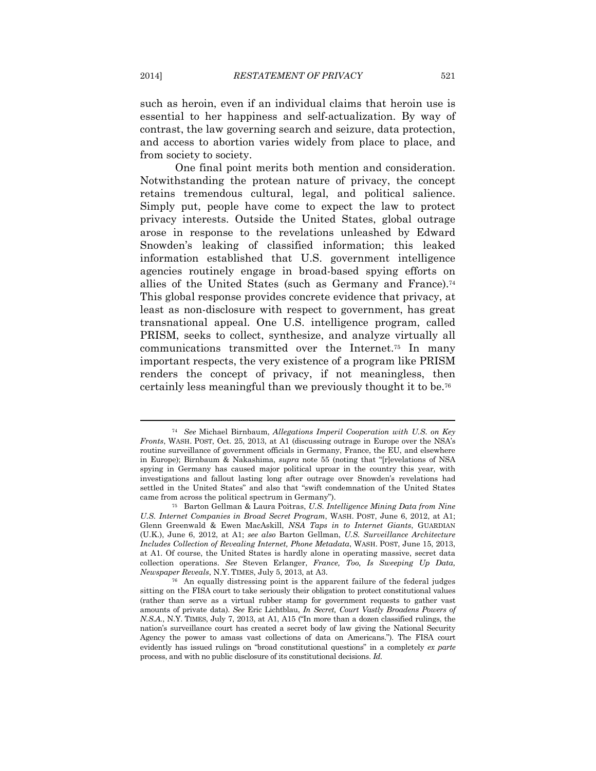such as heroin, even if an individual claims that heroin use is essential to her happiness and self-actualization. By way of contrast, the law governing search and seizure, data protection, and access to abortion varies widely from place to place, and from society to society.

One final point merits both mention and consideration. Notwithstanding the protean nature of privacy, the concept retains tremendous cultural, legal, and political salience. Simply put, people have come to expect the law to protect privacy interests. Outside the United States, global outrage arose in response to the revelations unleashed by Edward Snowden's leaking of classified information; this leaked information established that U.S. government intelligence agencies routinely engage in broad-based spying efforts on allies of the United States (such as Germany and France).74 This global response provides concrete evidence that privacy, at least as non-disclosure with respect to government, has great transnational appeal. One U.S. intelligence program, called PRISM, seeks to collect, synthesize, and analyze virtually all communications transmitted over the Internet.75 In many important respects, the very existence of a program like PRISM renders the concept of privacy, if not meaningless, then certainly less meaningful than we previously thought it to be.76

<sup>74</sup> *See* Michael Birnbaum, *Allegations Imperil Cooperation with U.S. on Key Fronts*, WASH. POST, Oct. 25, 2013, at A1 (discussing outrage in Europe over the NSA's routine surveillance of government officials in Germany, France, the EU, and elsewhere in Europe); Birnbaum & Nakashima, *supra* note 55 (noting that "[r]evelations of NSA spying in Germany has caused major political uproar in the country this year, with investigations and fallout lasting long after outrage over Snowden's revelations had settled in the United States" and also that "swift condemnation of the United States came from across the political spectrum in Germany"). 75 Barton Gellman & Laura Poitras, *U.S. Intelligence Mining Data from Nine* 

*U.S. Internet Companies in Broad Secret Program*, WASH. POST, June 6, 2012, at A1; Glenn Greenwald & Ewen MacAskill, *NSA Taps in to Internet Giants*, GUARDIAN (U.K.), June 6, 2012, at A1; *see also* Barton Gellman, *U.S. Surveillance Architecture Includes Collection of Revealing Internet, Phone Metadata*, WASH. POST, June 15, 2013, at A1. Of course, the United States is hardly alone in operating massive, secret data collection operations. *See* Steven Erlanger, *France, Too, Is Sweeping Up Data, Newspaper Reveals*, N.Y. TIMES, July 5, 2013, at A3.<br><sup>76</sup> An equally distressing point is the apparent failure of the federal judges

sitting on the FISA court to take seriously their obligation to protect constitutional values (rather than serve as a virtual rubber stamp for government requests to gather vast amounts of private data). *See* Eric Lichtblau, *In Secret, Court Vastly Broadens Powers of N.S.A.*, N.Y. TIMES, July 7, 2013, at A1, A15 ("In more than a dozen classified rulings, the nation's surveillance court has created a secret body of law giving the National Security Agency the power to amass vast collections of data on Americans."). The FISA court evidently has issued rulings on "broad constitutional questions" in a completely *ex parte* process, and with no public disclosure of its constitutional decisions. *Id.*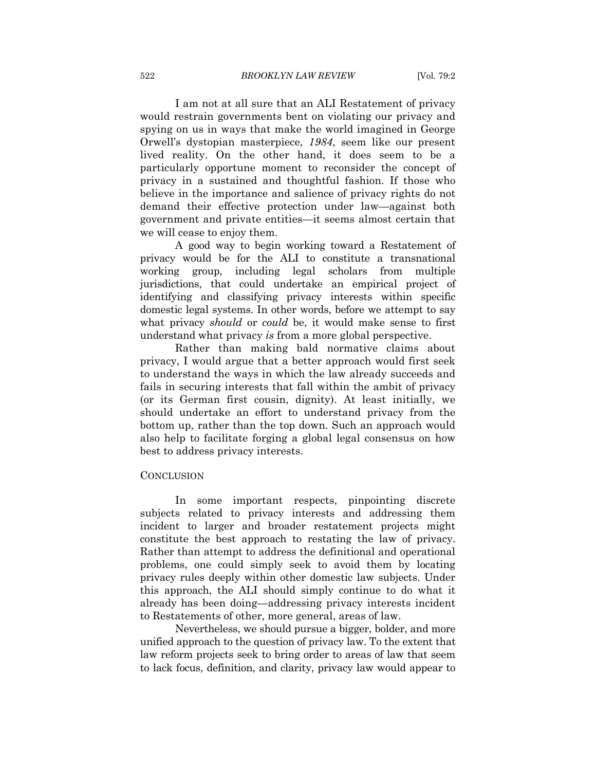I am not at all sure that an ALI Restatement of privacy would restrain governments bent on violating our privacy and spying on us in ways that make the world imagined in George Orwell's dystopian masterpiece, *1984*, seem like our present lived reality. On the other hand, it does seem to be a particularly opportune moment to reconsider the concept of privacy in a sustained and thoughtful fashion. If those who believe in the importance and salience of privacy rights do not demand their effective protection under law—against both government and private entities—it seems almost certain that we will cease to enjoy them.

A good way to begin working toward a Restatement of privacy would be for the ALI to constitute a transnational working group, including legal scholars from multiple jurisdictions, that could undertake an empirical project of identifying and classifying privacy interests within specific domestic legal systems. In other words, before we attempt to say what privacy *should* or *could* be, it would make sense to first understand what privacy *is* from a more global perspective.

Rather than making bald normative claims about privacy, I would argue that a better approach would first seek to understand the ways in which the law already succeeds and fails in securing interests that fall within the ambit of privacy (or its German first cousin, dignity). At least initially, we should undertake an effort to understand privacy from the bottom up, rather than the top down. Such an approach would also help to facilitate forging a global legal consensus on how best to address privacy interests.

#### **CONCLUSION**

In some important respects, pinpointing discrete subjects related to privacy interests and addressing them incident to larger and broader restatement projects might constitute the best approach to restating the law of privacy. Rather than attempt to address the definitional and operational problems, one could simply seek to avoid them by locating privacy rules deeply within other domestic law subjects. Under this approach, the ALI should simply continue to do what it already has been doing—addressing privacy interests incident to Restatements of other, more general, areas of law.

Nevertheless, we should pursue a bigger, bolder, and more unified approach to the question of privacy law. To the extent that law reform projects seek to bring order to areas of law that seem to lack focus, definition, and clarity, privacy law would appear to